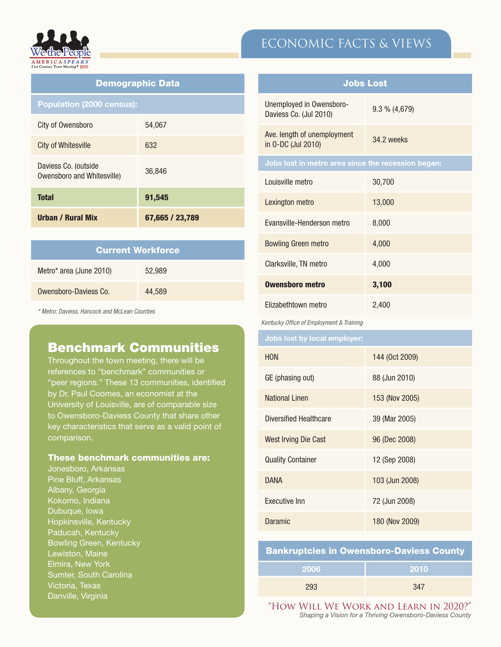

| <b>Demographic Data</b>                            |                 |  |
|----------------------------------------------------|-----------------|--|
| <b>Population (2000 census):</b>                   |                 |  |
| City of Owensboro                                  | 54.067          |  |
| City of Whitesville                                | 632             |  |
| Daviess Co. (outside<br>Owensboro and Whitesville) | 36,846          |  |
| <b>Total</b>                                       | 91,545          |  |
| Urban / Rural Mix                                  | 67,665 / 23,789 |  |

| <b>Current Workforce</b> |        |  |
|--------------------------|--------|--|
| Metro* area (June 2010)  | 52,989 |  |
| Owensboro-Daviess Co.    | 44.589 |  |

*\* Metro: Daviess, Hancock and McLean Counties*

## Benchmark Communities

Throughout the town meeting, there will be references to "benchmark" communities or "peer regions." These 13 communities, identified by Dr. Paul Coomes, an economist at the University of Louisville, are of comparable size to Owensboro-Daviess County that share other key characteristics that serve as a valid point of comparison.

### These benchmark communities are:

Jonesboro, Arkansas Pine Bluff, Arkansas Albany, Georgia Kokomo, Indiana Dubuque, Iowa Hopkinsville, Kentucky Paducah, Kentucky Bowling Green, Kentucky Lewiston, Maine Elmira, New York Sumter, South Carolina Victoria, Texas Danville, Virginia

# ECONOMIC FACTS & VIEWS

| <b>Jobs Lost</b>                                   |                  |  |
|----------------------------------------------------|------------------|--|
| Unemployed in Owensboro-<br>Daviess Co. (Jul 2010) | $9.3 \% (4,679)$ |  |
| Ave. length of unemployment<br>in 0-DC (Jul 2010)  | 34.2 weeks       |  |
| Jobs lost in metro area since the recession began: |                  |  |
| Louisville metro                                   | 30,700           |  |
| Lexington metro                                    | 13,000           |  |
| Evansville-Henderson metro                         | 8,000            |  |
| <b>Bowling Green metro</b>                         | 4,000            |  |
| Clarksville, TN metro                              | 4,000            |  |
| <b>Owensboro metro</b>                             | 3,100            |  |
| Elizabethtown metro                                | 2,400            |  |
| Kentucky Office of Employment & Training           |                  |  |
| Jobs lost by local employer:                       |                  |  |
| <b>HON</b>                                         | 144 (Oct 2009)   |  |
| GE (phasing out)                                   | 88 (Jun 2010)    |  |
| <b>National Linen</b>                              | 153 (Nov 2005)   |  |
| <b>Diversified Healthcare</b>                      | 39 (Mar 2005)    |  |
| <b>West Irving Die Cast</b>                        | 96 (Dec 2008)    |  |
| <b>Quality Container</b>                           | 12 (Sep 2008)    |  |
| <b>DANA</b>                                        | 103 (Jun 2008)   |  |
| <b>Executive Inn</b>                               | 72 (Jun 2008)    |  |

Daramic 180 (Nov 2009)

| <b>Bankruptcies in Owensboro-Daviess County</b> |       |  |
|-------------------------------------------------|-------|--|
| -2006                                           | -2010 |  |
| 293                                             | 347   |  |

"How Will We Work and Learn in 2020?" *Shaping a Vision for a Thriving Owensboro-Daviess County*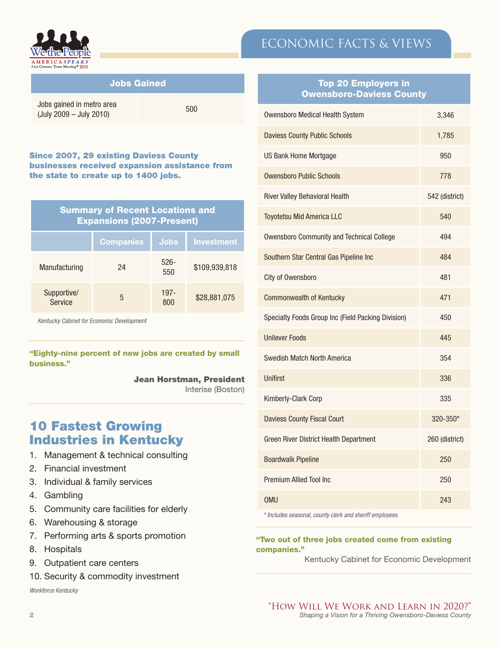

| <b>Jobs Gained</b>                                   |     |
|------------------------------------------------------|-----|
| Jobs gained in metro area<br>(July 2009 - July 2010) | 500 |

#### Since 2007, 29 existing Daviess County businesses received expansion assistance from the state to create up to 1400 jobs.

| <b>Summary of Recent Locations and</b><br><b>Expansions (2007-Present)</b> |                  |                |                   |
|----------------------------------------------------------------------------|------------------|----------------|-------------------|
|                                                                            | <b>Companies</b> | <b>Jobs</b>    | <b>Investment</b> |
| Manufacturing                                                              | 24               | $526 -$<br>550 | \$109,939,818     |
| Supportive/<br><b>Service</b>                                              | 5                | $197 -$<br>800 | \$28,881,075      |

*Kentucky Cabinet for Economic Development*

"Eighty-nine percent of new jobs are created by small business."

Jean Horstman, President

Interise (Boston)

# 10 Fastest Growing Industries in Kentucky

- 1. Management & technical consulting
- 2. Financial investment
- 3. Individual & family services
- 4. Gambling
- 5. Community care facilities for elderly
- 6. Warehousing & storage
- 7. Performing arts & sports promotion
- 8. Hospitals
- 9. Outpatient care centers
- 10. Security & commodity investment

*Workforce Kentucky*

### Top 20 Employers in Owensboro-Daviess County

ECONOMIC FACTS & VIEWS

| Owensboro Medical Health System                    | 3,346          |
|----------------------------------------------------|----------------|
| <b>Daviess County Public Schools</b>               | 1,785          |
| <b>US Bank Home Mortgage</b>                       | 950            |
| <b>Owensboro Public Schools</b>                    | 778            |
| <b>River Valley Behavioral Health</b>              | 542 (district) |
| <b>Toyotetsu Mid America LLC</b>                   | 540            |
| <b>Owensboro Community and Technical College</b>   | 494            |
| Southern Star Central Gas Pipeline Inc             | 484            |
| City of Owensboro                                  | 481            |
| <b>Commonwealth of Kentucky</b>                    | 471            |
| Specialty Foods Group Inc (Field Packing Division) | 450            |
| <b>Unilever Foods</b>                              | 445            |
| Swedish Match North America                        | 354            |
| <b>Unifirst</b>                                    | 336            |
| Kimberly-Clark Corp                                | 335            |
| <b>Daviess County Fiscal Court</b>                 | 320-350*       |
| Green River District Health Department             | 260 (district) |
| <b>Boardwalk Pipeline</b>                          | 250            |
| Premium Allied Tool Inc.                           | 250            |
| <b>OMU</b>                                         | 243            |

*\* Includes seasonal, county clerk and sheriff employees*

#### "Two out of three jobs created come from existing companies."

Kentucky Cabinet for Economic Development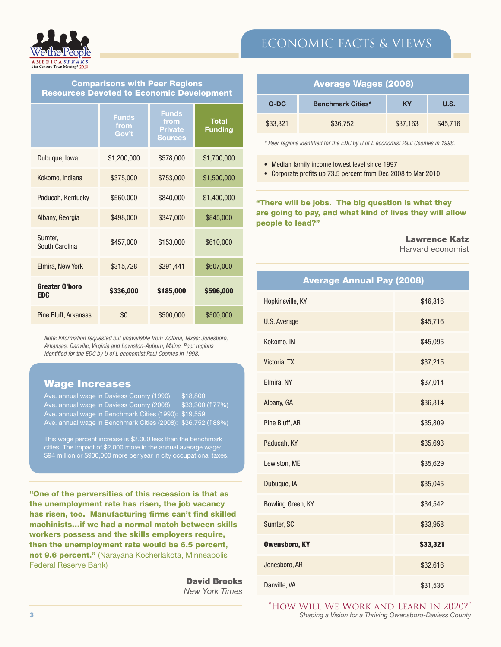

# ECONOMIC FACTS & VIEWS

| <b>Comparisons with Peer Regions</b>             |  |
|--------------------------------------------------|--|
| <b>Resources Devoted to Economic Development</b> |  |

|                                     | <b>Funds</b><br>from<br>Gov't | <b>Funds</b><br>from<br><b>Private</b><br><b>Sources</b> | <b>Total</b><br><b>Funding</b> |
|-------------------------------------|-------------------------------|----------------------------------------------------------|--------------------------------|
| Dubuque, Iowa                       | \$1,200,000                   | \$578,000                                                | \$1,700,000                    |
| Kokomo, Indiana                     | \$375,000                     | \$753,000                                                | \$1,500,000                    |
| Paducah, Kentucky                   | \$560,000                     | \$840,000                                                | \$1,400,000                    |
| Albany, Georgia                     | \$498,000                     | \$347,000                                                | \$845,000                      |
| Sumter,<br>South Carolina           | \$457,000                     | \$153,000                                                | \$610,000                      |
| Elmira, New York                    | \$315,728                     | \$291,441                                                | \$607,000                      |
| <b>Greater O'boro</b><br><b>EDC</b> | \$336,000                     | \$185,000                                                | \$596,000                      |
| Pine Bluff, Arkansas                | \$0                           | \$500,000                                                | \$500,000                      |

*Note: Information requested but unavailable from Victoria, Texas; Jonesboro, Arkansas; Danville, Virginia and Lewiston-Auburn, Maine. Peer regions identified for the EDC by U of L economist Paul Coomes in 1998.*

### Wage Increases

| Ave. annual wage in Daviess County (1990):                   | 518.800         |
|--------------------------------------------------------------|-----------------|
| Ave. annual wage in Daviess County (2008):                   | \$33.300 (177%) |
| Ave. annual wage in Benchmark Cities (1990): \$19,559        |                 |
| Ave. annual wage in Benchmark Cities (2008): \$36,752 (188%) |                 |

This wage percent increase is \$2,000 less than the benchmark cities. The impact of \$2,000 more in the annual average wage: \$94 million or \$900,000 more per year in city occupational taxes.

"One of the perversities of this recession is that as the unemployment rate has risen, the job vacancy has risen, too. Manufacturing firms can't find skilled machinists…if we had a normal match between skills workers possess and the skills employers require, then the unemployment rate would be 6.5 percent, not 9.6 percent." (Narayana Kocherlakota, Minneapolis Federal Reserve Bank)

> David Brooks *New York Times*

| <b>Average Wages (2008)</b> |                          |           |          |
|-----------------------------|--------------------------|-----------|----------|
| $O-DC$                      | <b>Benchmark Cities*</b> | <b>KY</b> | U.S.     |
| \$33,321                    | \$36,752                 | \$37,163  | \$45,716 |

*\* Peer regions identified for the EDC by U of L economist Paul Coomes in 1998.*

• Median family income lowest level since 1997

• Corporate profits up 73.5 percent from Dec 2008 to Mar 2010

"There will be jobs. The big question is what they are going to pay, and what kind of lives they will allow people to lead?"

#### Lawrence Katz

Harvard economist

| <b>Average Annual Pay (2008)</b> |          |  |  |  |
|----------------------------------|----------|--|--|--|
| Hopkinsville, KY                 | \$46,816 |  |  |  |
| U.S. Average                     | \$45,716 |  |  |  |
| Kokomo, IN                       | \$45,095 |  |  |  |
| Victoria, TX                     | \$37,215 |  |  |  |
| Elmira, NY                       | \$37,014 |  |  |  |
| Albany, GA                       | \$36,814 |  |  |  |
| Pine Bluff, AR                   | \$35,809 |  |  |  |
| Paducah, KY                      | \$35,693 |  |  |  |
| Lewiston, ME                     | \$35,629 |  |  |  |
| Dubuque, IA                      | \$35,045 |  |  |  |
| Bowling Green, KY                | \$34,542 |  |  |  |
| Sumter, SC                       | \$33,958 |  |  |  |
| <b>Owensboro, KY</b>             | \$33,321 |  |  |  |
| Jonesboro, AR                    | \$32,616 |  |  |  |
| Danville, VA                     | \$31,536 |  |  |  |